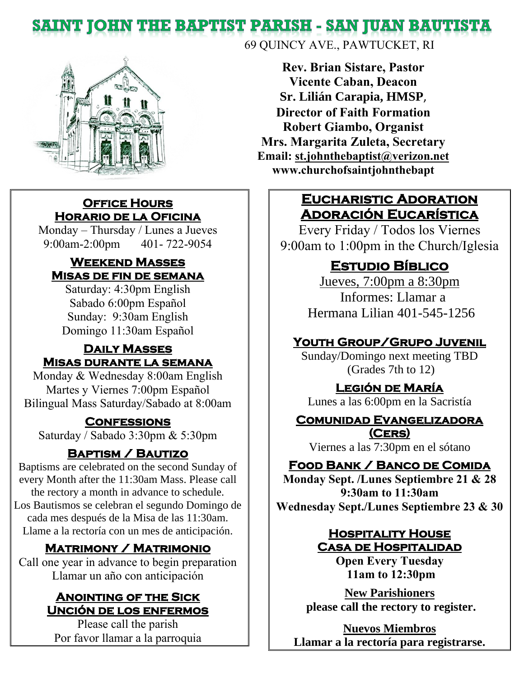# **SAINT JOHN THE BAPTIST PARISH - SAN JUAN BAUTISTA**



#### **Office Hours Horario de la Oficina**

Monday – Thursday / Lunes a Jueves 9:00am-2:00pm 401- 722-9054

#### **Weekend Masses Misas de fin de semana**

Saturday: 4:30pm English Sabado 6:00pm Español Sunday: 9:30am English Domingo 11:30am Español

#### **Daily Masses Misas durante la semana**

Monday & Wednesday 8:00am English Martes y Viernes 7:00pm Español Bilingual Mass Saturday/Sabado at 8:00am

#### **Confessions**

Saturday / Sabado 3:30pm & 5:30pm

#### **Baptism / Bautizo**

Baptisms are celebrated on the second Sunday of every Month after the 11:30am Mass. Please call the rectory a month in advance to schedule. Los Bautismos se celebran el segundo Domingo de cada mes después de la Misa de las 11:30am. Llame a la rectoría con un mes de anticipación.

#### **Matrimony / Matrimonio**

Call one year in advance to begin preparation Llamar un año con anticipación

#### **Anointing of the Sick Unción de los enfermos**

Please call the parish Por favor llamar a la parroquia 69 QUINCY AVE., PAWTUCKET, RI

**Rev. Brian Sistare, Pastor Vicente Caban, Deacon Sr. Lilián Carapia, HMSP**, **Director of Faith Formation Robert Giambo, Organist Mrs. Margarita Zuleta, Secretary Email: [st.johnthebaptist@verizon.net](mailto:st.johnthebaptist@verizon.net) www.churchofsaintjohnthebapt**

#### **Eucharistic Adoration Adoración Eucarística**

Every Friday / Todos los Viernes 9:00am to 1:00pm in the Church/Iglesia

## **Estudio Bíblico**

Jueves, 7:00pm a 8:30pm Informes: Llamar a Hermana Lilian 401-545-1256

#### **Youth Group/Grupo Juvenil**

Sunday/Domingo next meeting TBD (Grades 7th to 12)

#### **Legión de María**

Lunes a las 6:00pm en la Sacristía

#### **Comunidad Evangelizadora (Cers)**

Viernes a las 7:30pm en el sótano

#### **Food Bank / Banco de Comida**

**Monday Sept. /Lunes Septiembre 21 & 28 9:30am to 11:30am Wednesday Sept./Lunes Septiembre 23 & 30**

#### **Hospitality House Casa de Hospitalidad**

**Open Every Tuesday 11am to 12:30pm**

**New Parishioners please call the rectory to register.** 

**Nuevos Miembros Llamar a la rectoría para registrarse.**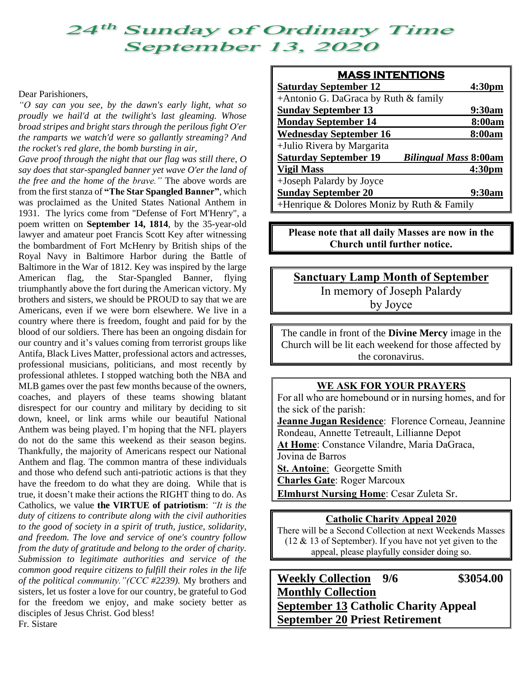# **24<sup>th</sup> Sunday of Ordinary Time**<br>September 13, 2020

#### Dear Parishioners,

*"O say can you see, by the dawn's early light, what so proudly we hail'd at the twilight's last gleaming. Whose broad stripes and bright stars through the perilous fight O'er the ramparts we watch'd were so gallantly streaming? And the rocket's red glare, the bomb bursting in air,*

*Gave proof through the night that our flag was still there, O say does that star-spangled banner yet wave O'er the land of the free and the home of the brave."* The above words are from the first stanza of **"The Star Spangled Banner"**, which was proclaimed as the United States National Anthem in 1931. The lyrics come from "Defense of Fort M'Henry", a [poem](https://en.wikipedia.org/wiki/Poem) written on **September 14, 1814**, by the 35-year-old lawyer and amateur poet [Francis](https://en.wikipedia.org/wiki/Francis_Scott_Key) Scott Key after witnessing the bombardment of Fort [McHenry](https://en.wikipedia.org/wiki/Fort_McHenry) by British ships of the [Royal](https://en.wikipedia.org/wiki/Royal_Navy) Navy in Baltimore Harbor during the [Battle](https://en.wikipedia.org/wiki/Battle_of_Baltimore) of [Baltimore](https://en.wikipedia.org/wiki/Battle_of_Baltimore) in the War of [1812.](https://en.wikipedia.org/wiki/War_of_1812) Key was inspired by the large [American](https://en.wikipedia.org/wiki/Flag_of_the_United_States) flag, the [Star-Spangled](https://en.wikipedia.org/wiki/Star-Spangled_Banner_(flag)) Banner, flying triumphantly above the fort during the American victory. My brothers and sisters, we should be PROUD to say that we are Americans, even if we were born elsewhere. We live in a country where there is freedom, fought and paid for by the blood of our soldiers. There has been an ongoing disdain for our country and it's values coming from terrorist groups like Antifa, Black Lives Matter, professional actors and actresses, professional musicians, politicians, and most recently by professional athletes. I stopped watching both the NBA and MLB games over the past few months because of the owners, coaches, and players of these teams showing blatant disrespect for our country and military by deciding to sit down, kneel, or link arms while our beautiful National Anthem was being played. I'm hoping that the NFL players do not do the same this weekend as their season begins. Thankfully, the majority of Americans respect our National Anthem and flag. The common mantra of these individuals and those who defend such anti-patriotic actions is that they have the freedom to do what they are doing. While that is true, it doesn't make their actions the RIGHT thing to do. As Catholics, we value **the VIRTUE of patriotism**: *"It is the duty of citizens to contribute along with the civil authorities to the good of society in a spirit of truth, justice, solidarity, and freedom. The love and service of one's country follow from the duty of gratitude and belong to the order of charity. Submission to legitimate authorities and service of the common good require citizens to fulfill their roles in the life of the political community."(CCC #2239).* My brothers and sisters, let us foster a love for our country, be grateful to God for the freedom we enjoy, and make society better as disciples of Jesus Christ. God bless! Fr. Sistare

| <b>MASS INTENTIONS</b>                                       |                    |
|--------------------------------------------------------------|--------------------|
| <b>Saturday September 12</b>                                 | 4:30 <sub>pm</sub> |
| +Antonio G. DaGraca by Ruth & family                         |                    |
| <b>Sunday September 13</b>                                   | 9:30am             |
| <b>Monday September 14</b>                                   | 8:00am             |
| <b>Wednesday September 16</b>                                | 8:00am             |
| +Julio Rivera by Margarita                                   |                    |
| <b>Saturday September 19</b><br><b>Bilingual Mass 8:00am</b> |                    |
| <b>Vigil Mass</b>                                            | 4:30 <sub>pm</sub> |
| +Joseph Palardy by Joyce                                     |                    |
| <b>Sunday September 20</b>                                   | 9:30am             |
| +Henrique & Dolores Moniz by Ruth & Family                   |                    |

**Please note that all daily Masses are now in the Church until further notice.**

**Sanctuary Lamp Month of September** In memory of Joseph Palardy by Joyce

The candle in front of the **Divine Mercy** image in the Church will be lit each weekend for those affected by the coronavirus.

#### **WE ASK FOR YOUR PRAYERS**

For all who are homebound or in nursing homes, and for the sick of the parish: **Jeanne Jugan Residence**: Florence Corneau, Jeannine Rondeau, Annette Tetreault, Lillianne Depot **At Home**: Constance Vilandre, Maria DaGraca, Jovina de Barros **St. Antoine**: Georgette Smith **Charles Gate**: Roger Marcoux **Elmhurst Nursing Home**: Cesar Zuleta Sr.

#### **Catholic Charity Appeal 2020**

There will be a Second Collection at next Weekends Masses (12  $\&$  13 of September). If you have not yet given to the appeal, please playfully consider doing so.

| <b>Weekly Collection</b> 9/6                | \$3054.00 |
|---------------------------------------------|-----------|
| <b>Monthly Collection</b>                   |           |
| <b>September 13 Catholic Charity Appeal</b> |           |
| <b>September 20 Priest Retirement</b>       |           |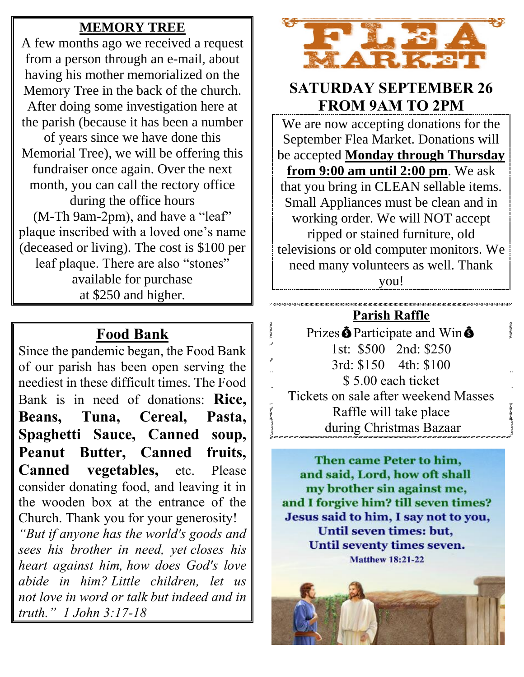#### **MEMORY TREE**

A few months ago we received a request from a person through an e-mail, about having his mother memorialized on the Memory Tree in the back of the church. After doing some investigation here at the parish (because it has been a number of years since we have done this Memorial Tree), we will be offering this fundraiser once again. Over the next month, you can call the rectory office during the office hours (M-Th 9am-2pm), and have a "leaf" plaque inscribed with a loved one's name (deceased or living). The cost is \$100 per leaf plaque. There are also "stones" available for purchase at \$250 and higher.

# **Food Bank**

Since the pandemic began, the Food Bank of our parish has been open serving the neediest in these difficult times. The Food Bank is in need of donations: **Rice, Beans, Tuna, Cereal, Pasta, Spaghetti Sauce, Canned soup, Peanut Butter, Canned fruits,**  Canned vegetables, etc. Please consider donating food, and leaving it in the wooden box at the entrance of the Church. Thank you for your generosity!

*"But if anyone has the world's goods and sees his brother in need, yet closes his heart against him, how does God's love abide in him? Little children, let us not love in word or talk but indeed and in truth." 1 John 3:17-18*



### **SATURDAY SEPTEMBER 26 FROM 9AM TO 2PM**

We are now accepting donations for the September Flea Market. Donations will be accepted **Monday through Thursday from 9:00 am until 2:00 pm**. We ask that you bring in CLEAN sellable items. Small Appliances must be clean and in working order. We will NOT accept ripped or stained furniture, old televisions or old computer monitors. We need many volunteers as well. Thank you!

# **Parish Raffle**

Prizes  $\ddot{\mathbf{\Theta}}$  Participate and Win  $\ddot{\mathbf{\Theta}}$ 1st: \$500 2nd: \$250 3rd: \$150 4th: \$100 \$ 5.00 each ticket Tickets on sale after weekend Masses Raffle will take place during Christmas Bazaar

Then came Peter to him, and said, Lord, how oft shall my brother sin against me, and I forgive him? till seven times? Jesus said to him, I say not to you, Until seven times: but, Until seventy times seven. **Matthew 18:21-22** 

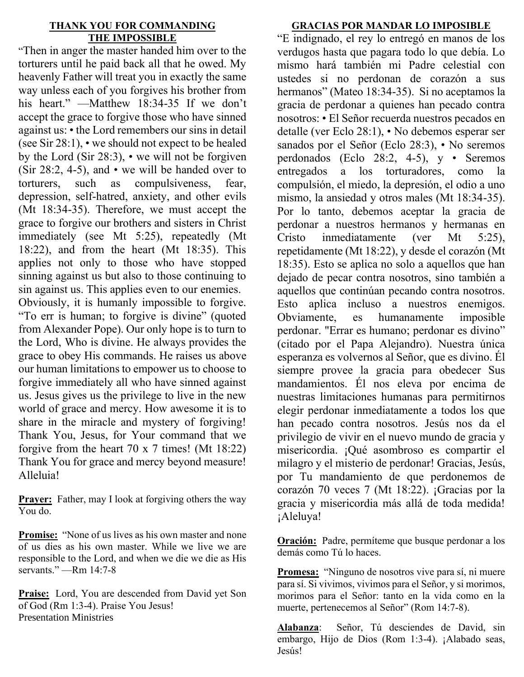#### **THANK YOU FOR COMMANDING THE IMPOSSIBLE**

"Then in anger the master handed him over to the torturers until he paid back all that he owed. My heavenly Father will treat you in exactly the same way unless each of you forgives his brother from his heart." —Matthew 18:34-35 If we don't accept the grace to forgive those who have sinned against us: • the Lord remembers our sins in detail (see Sir 28:1), • we should not expect to be healed by the Lord (Sir 28:3), • we will not be forgiven (Sir 28:2, 4-5), and  $\cdot$  we will be handed over to torturers, such as compulsiveness, fear, depression, self-hatred, anxiety, and other evils (Mt 18:34-35). Therefore, we must accept the grace to forgive our brothers and sisters in Christ immediately (see Mt 5:25), repeatedly (Mt 18:22), and from the heart (Mt 18:35). This applies not only to those who have stopped sinning against us but also to those continuing to sin against us. This applies even to our enemies.

Obviously, it is humanly impossible to forgive. "To err is human; to forgive is divine" (quoted from Alexander Pope). Our only hope is to turn to the Lord, Who is divine. He always provides the grace to obey His commands. He raises us above our human limitations to empower us to choose to forgive immediately all who have sinned against us. Jesus gives us the privilege to live in the new world of grace and mercy. How awesome it is to share in the miracle and mystery of forgiving! Thank You, Jesus, for Your command that we forgive from the heart 70 x 7 times! (Mt 18:22) Thank You for grace and mercy beyond measure! Alleluia!

**Prayer:** Father, may I look at forgiving others the way You do.

**Promise:** "None of us lives as his own master and none of us dies as his own master. While we live we are responsible to the Lord, and when we die we die as His servants." —Rm 14:7-8

**Praise:** Lord, You are descended from David yet Son of God (Rm 1:3-4). Praise You Jesus! Presentation Ministries

#### **GRACIAS POR MANDAR LO IMPOSIBLE**

"E indignado, el rey lo entregó en manos de los verdugos hasta que pagara todo lo que debía. Lo mismo hará también mi Padre celestial con ustedes si no perdonan de corazón a sus hermanos" (Mateo 18:34-35). Si no aceptamos la gracia de perdonar a quienes han pecado contra nosotros: • El Señor recuerda nuestros pecados en detalle (ver Eclo 28:1), • No debemos esperar ser sanados por el Señor (Eclo 28:3), · No seremos perdonados (Eclo 28:2, 4-5), y • Seremos entregados a los torturadores, como la compulsión, el miedo, la depresión, el odio a uno mismo, la ansiedad y otros males (Mt 18:34-35). Por lo tanto, debemos aceptar la gracia de perdonar a nuestros hermanos y hermanas en Cristo inmediatamente (ver Mt 5:25), repetidamente (Mt 18:22), y desde el corazón (Mt 18:35). Esto se aplica no solo a aquellos que han dejado de pecar contra nosotros, sino también a aquellos que continúan pecando contra nosotros. Esto aplica incluso a nuestros enemigos. Obviamente, es humanamente imposible perdonar. "Errar es humano; perdonar es divino" (citado por el Papa Alejandro). Nuestra única esperanza es volvernos al Señor, que es divino. Él siempre provee la gracia para obedecer Sus mandamientos. Él nos eleva por encima de nuestras limitaciones humanas para permitirnos elegir perdonar inmediatamente a todos los que han pecado contra nosotros. Jesús nos da el privilegio de vivir en el nuevo mundo de gracia y misericordia. ¡Qué asombroso es compartir el milagro y el misterio de perdonar! Gracias, Jesús, por Tu mandamiento de que perdonemos de corazón 70 veces 7 (Mt 18:22). ¡Gracias por la gracia y misericordia más allá de toda medida! ¡Aleluya!

**Oración:** Padre, permíteme que busque perdonar a los demás como Tú lo haces.

**Promesa:** "Ninguno de nosotros vive para sí, ni muere para sí. Si vivimos, vivimos para el Señor, y si morimos, morimos para el Señor: tanto en la vida como en la muerte, pertenecemos al Señor" (Rom 14:7-8).

**Alabanza**: Señor, Tú desciendes de David, sin embargo, Hijo de Dios (Rom 1:3-4). ¡Alabado seas, Jesús!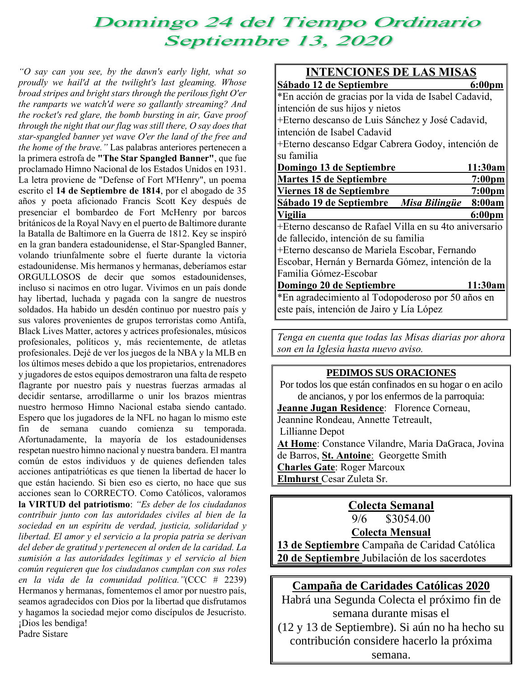# Domingo 24 del Tiempo Ordinario Septiembre 13, 2020

*"O say can you see, by the dawn's early light, what so proudly we hail'd at the twilight's last gleaming. Whose broad stripes and bright stars through the perilous fight O'er the ramparts we watch'd were so gallantly streaming? And the rocket's red glare, the bomb bursting in air, Gave proof through the night that our flag was still there, O say does that star-spangled banner yet wave O'er the land of the free and the home of the brave."* Las palabras anteriores pertenecen a la primera estrofa de **"The Star Spangled Banner"**, que fue proclamado Himno Nacional de los Estados Unidos en 1931. La letra proviene de "Defense of Fort M'Henry", un poema escrito el **14 de Septiembre de 1814**, por el abogado de 35 años y poeta aficionado Francis Scott Key después de presenciar el bombardeo de Fort McHenry por barcos británicos de la Royal Navy en el puerto de Baltimore durante la Batalla de Baltimore en la Guerra de 1812. Key se inspiró en la gran bandera estadounidense, el Star-Spangled Banner, volando triunfalmente sobre el fuerte durante la victoria estadounidense. Mis hermanos y hermanas, deberíamos estar ORGULLOSOS de decir que somos estadounidenses, incluso si nacimos en otro lugar. Vivimos en un país donde hay libertad, luchada y pagada con la sangre de nuestros soldados. Ha habido un desdén continuo por nuestro país y sus valores provenientes de grupos terroristas como Antifa, Black Lives Matter, actores y actrices profesionales, músicos profesionales, políticos y, más recientemente, de atletas profesionales. Dejé de ver los juegos de la NBA y la MLB en los últimos meses debido a que los propietarios, entrenadores y jugadores de estos equipos demostraron una falta de respeto flagrante por nuestro país y nuestras fuerzas armadas al decidir sentarse, arrodillarme o unir los brazos mientras nuestro hermoso Himno Nacional estaba siendo cantado. Espero que los jugadores de la NFL no hagan lo mismo este fin de semana cuando comienza su temporada. Afortunadamente, la mayoría de los estadounidenses respetan nuestro himno nacional y nuestra bandera. El mantra común de estos individuos y de quienes defienden tales acciones antipatrióticas es que tienen la libertad de hacer lo que están haciendo. Si bien eso es cierto, no hace que sus acciones sean lo CORRECTO. Como Católicos, valoramos **la VIRTUD del patriotismo**: *"Es deber de los ciudadanos contribuir junto con las autoridades civiles al bien de la sociedad en un espíritu de verdad, justicia, solidaridad y libertad. El amor y el servicio a la propia patria se derivan del deber de gratitud y pertenecen al orden de la caridad. La sumisión a las autoridades legítimas y el servicio al bien común requieren que los ciudadanos cumplan con sus roles en la vida de la comunidad política."*(CCC # 2239) Hermanos y hermanas, fomentemos el amor por nuestro país, seamos agradecidos con Dios por la libertad que disfrutamos y hagamos la sociedad mejor como discípulos de Jesucristo. ¡Dios les bendiga! Padre Sistare

| <u>INTENCIONES DE LAS MISAS</u>                        |                    |  |
|--------------------------------------------------------|--------------------|--|
| Sábado 12 de Septiembre                                | $6:00 \text{pm}$   |  |
| *En acción de gracias por la vida de Isabel Cadavid,   |                    |  |
| intención de sus hijos y nietos                        |                    |  |
| +Eterno descanso de Luis Sánchez y José Cadavid,       |                    |  |
| intención de Isabel Cadavid                            |                    |  |
| +Eterno descanso Edgar Cabrera Godoy, intención de     |                    |  |
| su familia                                             |                    |  |
| Domingo 13 de Septiembre                               | 11:30am            |  |
| <b>Martes 15 de Septiembre</b>                         | 7:00 <sub>pm</sub> |  |
| Viernes 18 de Septiembre                               | 7:00 <sub>pm</sub> |  |
| Sábado 19 de Septiembre Misa Bilingüe                  | 8:00am             |  |
| <b>Vigilia</b>                                         | 6:00 <sub>pm</sub> |  |
| +Eterno descanso de Rafael Villa en su 4to aniversario |                    |  |
| de fallecido, intención de su familia                  |                    |  |
| +Eterno descanso de Mariela Escobar, Fernando          |                    |  |
| Escobar, Hernán y Bernarda Gómez, intención de la      |                    |  |
|                                                        |                    |  |
| Familia Gómez-Escobar                                  |                    |  |
| Domingo 20 de Septiembre                               | 11:30am            |  |
| *En agradecimiento al Todopoderoso por 50 años en      |                    |  |

*Tenga en cuenta que todas las Misas diarias por ahora son en la Iglesia hasta nuevo aviso.*

#### **PEDIMOS SUS ORACIONES**

Por todos los que están confinados en su hogar o en acilo de ancianos, y por los enfermos de la parroquia:

**Jeanne Jugan Residence**: Florence Corneau, Jeannine Rondeau, Annette Tetreault, Lillianne Depot **At Home**: Constance Vilandre, Maria DaGraca, Jovina de Barros, **St. Antoine**: Georgette Smith **Charles Gate**: Roger Marcoux **Elmhurst** Cesar Zuleta Sr.

> **Colecta Semanal** 9/6 \$3054.00

**Colecta Mensual**

**13 de Septiembre** Campaña de Caridad Católica **20 de Septiembre** Jubilación de los sacerdotes

#### **Campaña de Caridades Católicas 2020**

Habrá una Segunda Colecta el próximo fin de semana durante misas el (12 y 13 de Septiembre). Si aún no ha hecho su contribución considere hacerlo la próxima semana.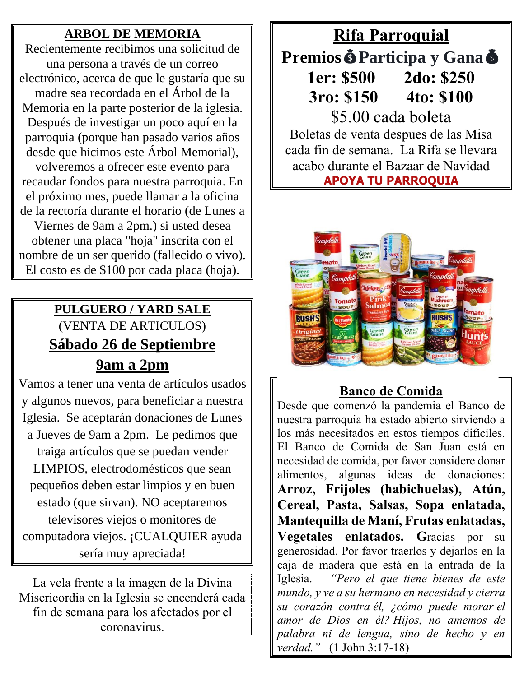#### **ARBOL DE MEMORIA**

Recientemente recibimos una solicitud de una persona a través de un correo electrónico, acerca de que le gustaría que su madre sea recordada en el Árbol de la Memoria en la parte posterior de la iglesia. Después de investigar un poco aquí en la parroquia (porque han pasado varios años desde que hicimos este Árbol Memorial),

volveremos a ofrecer este evento para recaudar fondos para nuestra parroquia. En el próximo mes, puede llamar a la oficina de la rectoría durante el horario (de Lunes a Viernes de 9am a 2pm.) si usted desea

obtener una placa "hoja" inscrita con el nombre de un ser querido (fallecido o vivo). El costo es de \$100 por cada placa (hoja).

# **PULGUERO / YARD SALE** (VENTA DE ARTICULOS) **Sábado 26 de Septiembre 9am a 2pm**

Vamos a tener una venta de artículos usados y algunos nuevos, para beneficiar a nuestra Iglesia. Se aceptarán donaciones de Lunes a Jueves de 9am a 2pm. Le pedimos que traiga artículos que se puedan vender LIMPIOS, electrodomésticos que sean pequeños deben estar limpios y en buen estado (que sirvan). NO aceptaremos televisores viejos o monitores de computadora viejos. ¡CUALQUIER ayuda sería muy apreciada!

La vela frente a la imagen de la Divina Misericordia en la Iglesia se encenderá cada fin de semana para los afectados por el coronavirus.

# **Rifa Parroquial PremiosParticipa y Gana 1er: \$500 2do: \$250 3ro: \$150 4to: \$100** \$5.00 cada boleta

Boletas de venta despues de las Misa cada fin de semana. La Rifa se llevara acabo durante el Bazaar de Navidad **APOYA TU PARROQUIA**



#### **Banco de Comida**

Desde que comenzó la pandemia el Banco de nuestra parroquia ha estado abierto sirviendo a los más necesitados en estos tiempos difíciles. El Banco de Comida de San Juan está en necesidad de comida, por favor considere donar alimentos, algunas ideas de donaciones: **Arroz, Frijoles (habichuelas), Atún, Cereal, Pasta, Salsas, Sopa enlatada, Mantequilla de Maní, Frutas enlatadas, Vegetales enlatados. G**racias por su generosidad. Por favor traerlos y dejarlos en la caja de madera que está en la entrada de la Iglesia. *"Pero el que tiene bienes de este mundo, y ve a su hermano en necesidad y cierra su corazón contra él, ¿cómo puede morar el amor de Dios en él? Hijos, no amemos de palabra ni de lengua, sino de hecho y en verdad."* (1 John 3:17-18)